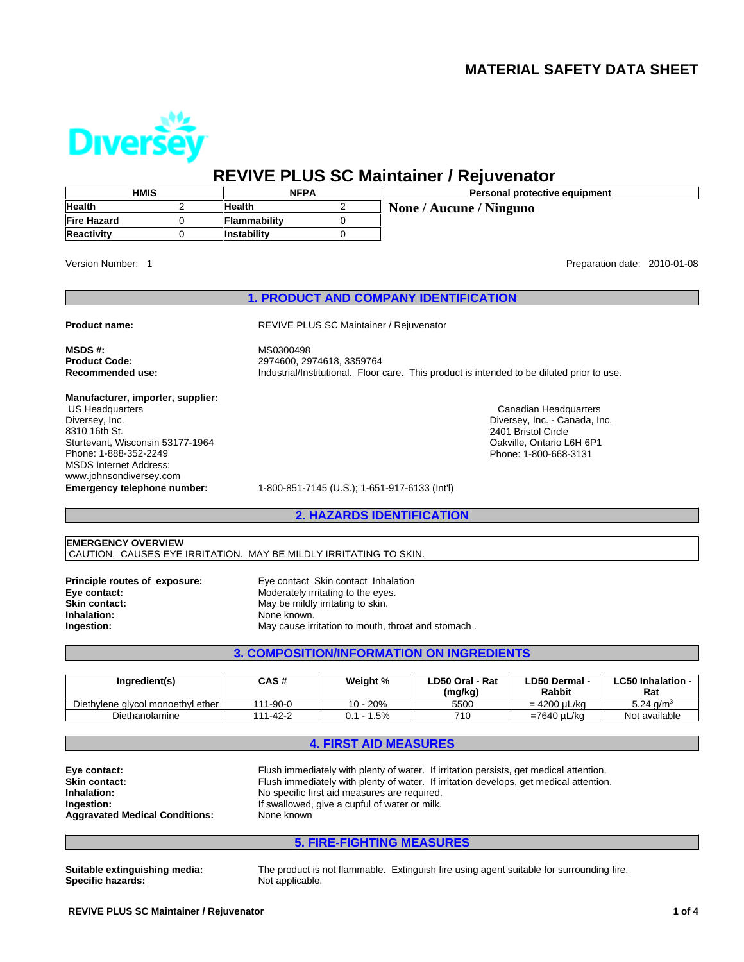# **MATERIAL SAFETY DATA SHEET**

Canadian Headquarters Diversey, Inc. - Canada, Inc.

2401 Bristol Circle Oakville, Ontario L6H 6P1 Phone: 1-800-668-3131



# **REVIVE PLUS SC Maintainer / Rejuvenator**

| <b>HMIS</b>        | <b>NFPA</b>         |  | <b>Personal protective equipment</b> |  |
|--------------------|---------------------|--|--------------------------------------|--|
| <b>Health</b>      | <b>Health</b>       |  | None / Aucune / Ninguno              |  |
| <b>Fire Hazard</b> | <b>Flammability</b> |  |                                      |  |
| Reactivity         | <b>Instability</b>  |  |                                      |  |

Version Number: 1

Preparation date: 2010-01-08

#### **1. PRODUCT AND COMPANY IDENTIFICATION**

**Product name:** REVIVE PLUS SC Maintainer / Rejuvenator

**MSDS #:** MS0300498 **Product Code:** 2974600, 2974618, 3359764 Industrial/Institutional. Floor care. This product is intended to be diluted prior to use.

**Manufacturer, importer, supplier:** US Headquarters

Diversey, Inc. 8310 16th St. Sturtevant, Wisconsin 53177-1964 Phone: 1-888-352-2249 MSDS Internet Address: www.johnsondiversey.com

**Emergency telephone number:** 1-800-851-7145 (U.S.); 1-651-917-6133 (Int'l)

**2. HAZARDS IDENTIFICATION**

# **EMERGENCY OVERVIEW**

CAUTION. CAUSES EYE IRRITATION. MAY BE MILDLY IRRITATING TO SKIN.

**Inhalation:** None known.

**Principle routes of exposure:** Eye contact Skin contact Inhalation<br> **Eye contact:** Moderately irritating to the eyes. **Eye contact:** Moderately irritating to the eyes.<br> **Skin contact:** May be mildly irritating to skin. May be mildly irritating to skin. **Ingestion:** May cause irritation to mouth, throat and stomach .

## **3. COMPOSITION/INFORMATION ON INGREDIENTS**

| Ingredient(s)                     | CAS#     | Weight %     | LD50 Oral - Rat<br>(mg/kg) | LD50 Dermal -<br><b>Rabbit</b> | ∟C50 Inhalation -<br>Rat |
|-----------------------------------|----------|--------------|----------------------------|--------------------------------|--------------------------|
| Diethylene glycol monoethyl ether | 111-90-0 | 10 - 20%     | 5500                       | = 4200 uL/ka                   | 5.24 $a/m^3$             |
| Diethanolamine                    | 111-42-2 | $0.1 - 1.5%$ | 710                        | =7640 µL/ka                    | Not available            |

# **4. FIRST AID MEASURES**

**Eye contact:** Flush immediately with plenty of water. If irritation persists, get medical attention. **Skin contact:** Flush immediately with plenty of water. If irritation develops, get medical attention. **Inhalation:** No specific first aid measures are required. **Ingestion:** If swallowed, give a cupful of water or milk.<br> **Aggravated Medical Conditions:** None known **Aggravated Medical Conditions:** 

## **5. FIRE-FIGHTING MEASURES**

**Specific hazards:** Not applicable.

**Suitable extinguishing media:** The product is not flammable. Extinguish fire using agent suitable for surrounding fire.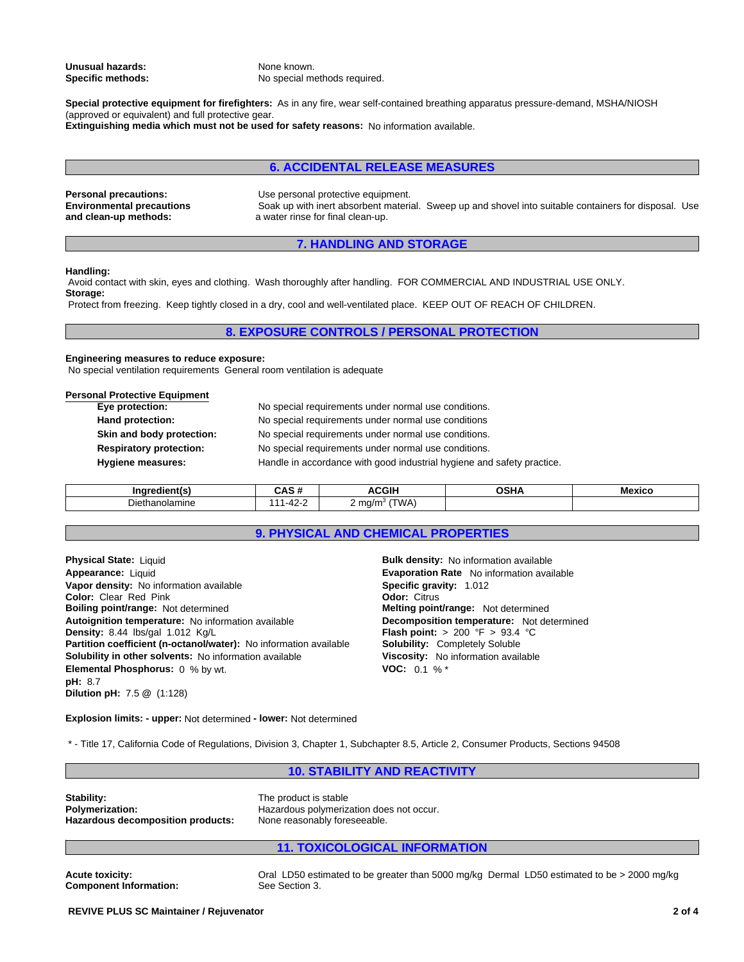**Unusual hazards:** None known.<br> **Specific methods:** No special m

No special methods required.

**Special protective equipment for firefighters:** As in any fire, wear self-contained breathing apparatus pressure-demand, MSHA/NIOSH (approved or equivalent) and full protective gear. **Extinguishing media which must not be used for safety reasons:** No information available.

#### **6. ACCIDENTAL RELEASE MEASURES**

**Environmental precautions and clean-up methods:**

**Personal precautions:** Use personal protective equipment. Soak up with inert absorbent material. Sweep up and shovel into suitable containers for disposal. Use a water rinse for final clean-up.

## **7. HANDLING AND STORAGE**

#### **Handling:**

 Avoid contact with skin, eyes and clothing. Wash thoroughly after handling. FOR COMMERCIAL AND INDUSTRIAL USE ONLY. **Storage:**

Protect from freezing. Keep tightly closed in a dry, cool and well-ventilated place. KEEP OUT OF REACH OF CHILDREN.

#### **8. EXPOSURE CONTROLS / PERSONAL PROTECTION**

## **Engineering measures to reduce exposure:**

No special ventilation requirements General room ventilation is adequate

#### **Personal Protective Equipment**

| Eye protection:                | No special requirements under normal use conditions.                   |
|--------------------------------|------------------------------------------------------------------------|
| Hand protection:               | No special requirements under normal use conditions                    |
| Skin and body protection:      | No special requirements under normal use conditions.                   |
| <b>Respiratory protection:</b> | No special requirements under normal use conditions.                   |
| <b>Hygiene measures:</b>       | Handle in accordance with good industrial hygiene and safety practice. |

| la sezalia all      | $\ddot{\phantom{1}}$<br>יים שרי | <b>ACGIH</b>                       | <b>00111</b><br>''' | Mexico |
|---------------------|---------------------------------|------------------------------------|---------------------|--------|
| -<br>Diethanolamine | .<br>╍<br>-                     | LUN D<br>ma/m<br>$\sqrt{2}$<br>. . |                     |        |

## **9. PHYSICAL AND CHEMICAL PROPERTIES**

**Physical State:** Liquid **Color:** Clear Red Pink **Color:** Clear Red Pink **Density:** 8.44 lbs/gal 1.012 Kg/L **Flash point:** > 200 °F > 93.4 °C **Dilution pH:** 7.5 **@** (1:128) **Partition coefficient (n-octanol/water):** No information available **Appearance:** Liquid **Solubility in other solvents:** No information available **Viscosity:** No information available **Elemental Phosphorus:** 0 % by wt. **Boiling point/range:** Not determined **pH:** 8.7 **Autoignition temperature:** No information available **Vapor density:** No information available

**Solubility:** Completely Soluble **Specific gravity:** 1.012 **VOC:** 0.1 % \* **Evaporation Rate** No information available **Melting point/range:** Not determined **Bulk density:** No information available **Decomposition temperature:** Not determined

**Explosion limits: - upper:** Not determined **- lower:** Not determined

\* - Title 17, California Code of Regulations, Division 3, Chapter 1, Subchapter 8.5, Article 2, Consumer Products, Sections 94508

## **10. STABILITY AND REACTIVITY**

**Stability:**<br> **Polymerization:**<br> **Polymerization:**<br> **Polymerization:**<br> **Polymerization: Hazardous decomposition products:** 

Hazardous polymerization does not occur.<br>None reasonably foreseeable.

# **11. TOXICOLOGICAL INFORMATION**

**Component Information:** 

Acute toxicity: Oral LD50 estimated to be greater than 5000 mg/kg Dermal LD50 estimated to be > 2000 mg/kg<br> **Component Information:** See Section 3.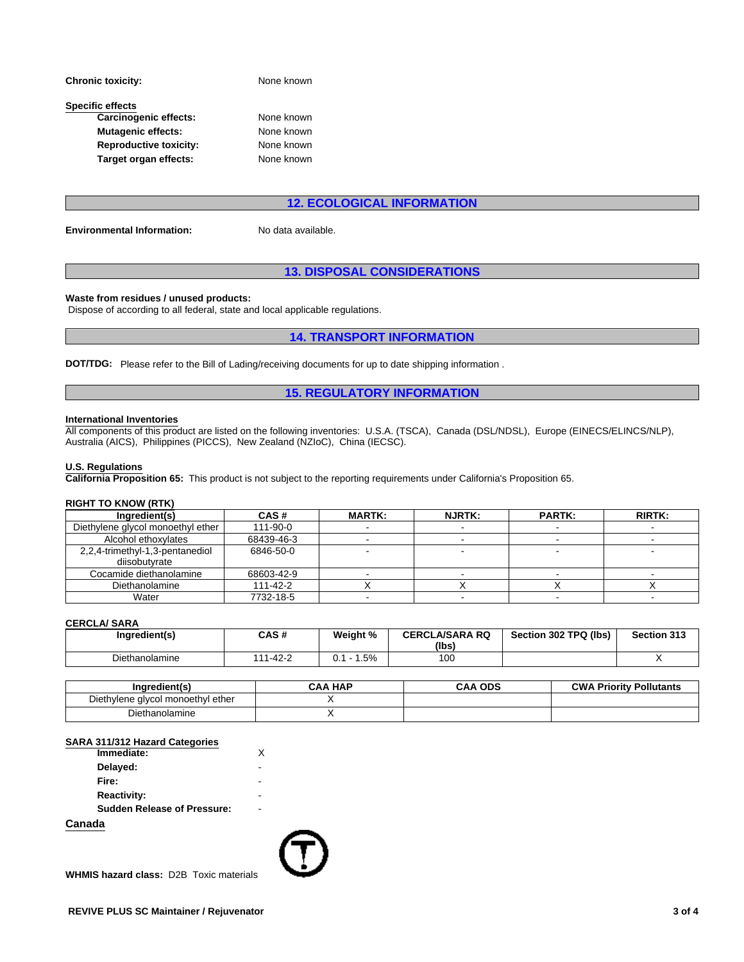| <b>Chronic toxicity:</b>      | None known |  |  |
|-------------------------------|------------|--|--|
| <b>Specific effects</b>       |            |  |  |
| <b>Carcinogenic effects:</b>  | None known |  |  |
| <b>Mutagenic effects:</b>     | None known |  |  |
| <b>Reproductive toxicity:</b> | None known |  |  |
| Target organ effects:         | None known |  |  |

## **12. ECOLOGICAL INFORMATION**

**Environmental Information:** No data available.

## **13. DISPOSAL CONSIDERATIONS**

#### **Waste from residues / unused products:**

Dispose of according to all federal, state and local applicable regulations.

## **14. TRANSPORT INFORMATION**

**DOT/TDG:** Please refer to the Bill of Lading/receiving documents for up to date shipping information .

## **15. REGULATORY INFORMATION**

#### **International Inventories**

All components of this product are listed on the following inventories: U.S.A. (TSCA), Canada (DSL/NDSL), Europe (EINECS/ELINCS/NLP), Australia (AICS), Philippines (PICCS), New Zealand (NZIoC), China (IECSC).

#### **U.S. Regulations**

**California Proposition 65:** This product is not subject to the reporting requirements under California's Proposition 65.

#### **RIGHT TO KNOW (RTK)**

| Ingredient(s)                     | CAS#       | <b>MARTK:</b> | <b>NJRTK:</b> | <b>PARTK:</b> | <b>RIRTK:</b> |
|-----------------------------------|------------|---------------|---------------|---------------|---------------|
| Diethylene glycol monoethyl ether | 111-90-0   |               |               |               |               |
| Alcohol ethoxylates               | 68439-46-3 |               |               |               |               |
| 2,2,4-trimethyl-1,3-pentanediol   | 6846-50-0  |               |               |               |               |
| diisobutvrate                     |            |               |               |               |               |
| Cocamide diethanolamine           | 68603-42-9 |               |               |               |               |
| Diethanolamine                    | 111-42-2   |               |               |               |               |
| Water                             | 7732-18-5  |               |               |               |               |

#### **CERCLA/ SARA**

| Ingredient(s)         | CAS#                     | Weight % | <b>CERCLA/SARA RQ</b><br>(Ibs) | Section 302 TPQ (lbs) | Section 313 |
|-----------------------|--------------------------|----------|--------------------------------|-----------------------|-------------|
| - -<br>Diethanolamine | 1-42-2<br>$\overline{A}$ | 5%،      | 100                            |                       |             |

| redient(s                              | <b>HAP</b><br>: A A | <b>ODS</b><br>CAA | <b>CWA</b><br><b>Priority Pollutants</b> |
|----------------------------------------|---------------------|-------------------|------------------------------------------|
| l monoethvl ether<br>Diethylene alvcol |                     |                   |                                          |
| - -<br>Diethanolamine                  |                     |                   |                                          |

#### **SARA 311/312 Hazard Categories**

| Immediate:                         | X |  |
|------------------------------------|---|--|
| Delayed:                           | - |  |
| Fire:                              | - |  |
| <b>Reactivity:</b>                 | - |  |
| <b>Sudden Release of Pressure:</b> | ٠ |  |
| Canada                             |   |  |

**WHMIS hazard class:** D2B Toxic materials